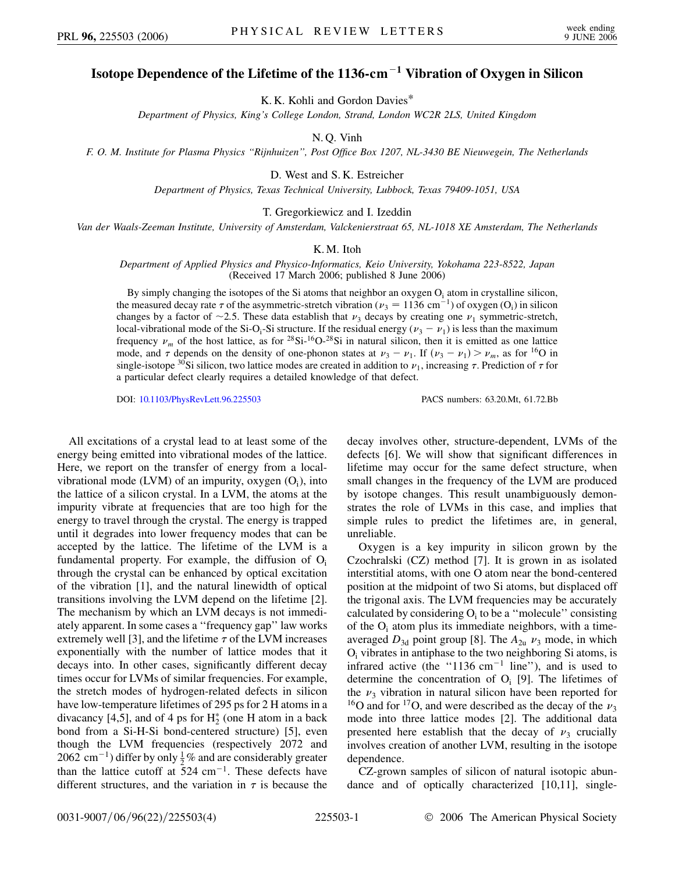## **Isotope Dependence of the Lifetime of the 1136-cm<sup>1</sup> Vibration of Oxygen in Silicon**

K. K. Kohli and Gordon Davies\*

*Department of Physics, King's College London, Strand, London WC2R 2LS, United Kingdom*

N. Q. Vinh

*F. O. M. Institute for Plasma Physics ''Rijnhuizen'', Post Office Box 1207, NL-3430 BE Nieuwegein, The Netherlands*

D. West and S. K. Estreicher

*Department of Physics, Texas Technical University, Lubbock, Texas 79409-1051, USA*

T. Gregorkiewicz and I. Izeddin

*Van der Waals-Zeeman Institute, University of Amsterdam, Valckenierstraat 65, NL-1018 XE Amsterdam, The Netherlands*

## K. M. Itoh

*Department of Applied Physics and Physico-Informatics, Keio University, Yokohama 223-8522, Japan* (Received 17 March 2006; published 8 June 2006)

By simply changing the isotopes of the Si atoms that neighbor an oxygen  $O_i$  atom in crystalline silicon, the measured decay rate  $\tau$  of the asymmetric-stretch vibration ( $\nu_3 = 1136$  cm<sup>-1</sup>) of oxygen (O<sub>i</sub>) in silicon changes by a factor of  $\sim$ 2.5. These data establish that  $\nu_3$  decays by creating one  $\nu_1$  symmetric-stretch, local-vibrational mode of the Si-O<sub>i</sub>-Si structure. If the residual energy  $(\nu_3 - \nu_1)$  is less than the maximum frequency  $\nu_m$  of the host lattice, as for <sup>28</sup>Si-<sup>16</sup>O-<sup>28</sup>Si in natural silicon, then it is emitted as one lattice mode, and  $\tau$  depends on the density of one-phonon states at  $\nu_3 - \nu_1$ . If  $(\nu_3 - \nu_1) > \nu_m$ , as for <sup>16</sup>O in single-isotope <sup>30</sup>Si silicon, two lattice modes are created in addition to  $\nu_1$ , increasing  $\tau$ . Prediction of  $\tau$  for a particular defect clearly requires a detailed knowledge of that defect.

DOI: [10.1103/PhysRevLett.96.225503](http://dx.doi.org/10.1103/PhysRevLett.96.225503) PACS numbers: 63.20.Mt, 61.72.Bb

All excitations of a crystal lead to at least some of the energy being emitted into vibrational modes of the lattice. Here, we report on the transfer of energy from a localvibrational mode (LVM) of an impurity, oxygen  $(O_i)$ , into the lattice of a silicon crystal. In a LVM, the atoms at the impurity vibrate at frequencies that are too high for the energy to travel through the crystal. The energy is trapped until it degrades into lower frequency modes that can be accepted by the lattice. The lifetime of the LVM is a fundamental property. For example, the diffusion of  $O_i$ through the crystal can be enhanced by optical excitation of the vibration [1], and the natural linewidth of optical transitions involving the LVM depend on the lifetime [2]. The mechanism by which an LVM decays is not immediately apparent. In some cases a ''frequency gap'' law works extremely well [3], and the lifetime  $\tau$  of the LVM increases exponentially with the number of lattice modes that it decays into. In other cases, significantly different decay times occur for LVMs of similar frequencies. For example, the stretch modes of hydrogen-related defects in silicon have low-temperature lifetimes of 295 ps for 2 H atoms in a divacancy [4,5], and of 4 ps for  $H_2^*$  (one H atom in a back bond from a Si-H-Si bond-centered structure) [5], even though the LVM frequencies (respectively 2072 and 2062 cm<sup>-1</sup>) differ by only  $\frac{1}{2}$ % and are considerably greater than the lattice cutoff at  $524 \text{ cm}^{-1}$ . These defects have different structures, and the variation in  $\tau$  is because the

decay involves other, structure-dependent, LVMs of the defects [6]. We will show that significant differences in lifetime may occur for the same defect structure, when small changes in the frequency of the LVM are produced by isotope changes. This result unambiguously demonstrates the role of LVMs in this case, and implies that simple rules to predict the lifetimes are, in general, unreliable.

Oxygen is a key impurity in silicon grown by the Czochralski (CZ) method [7]. It is grown in as isolated interstitial atoms, with one O atom near the bond-centered position at the midpoint of two Si atoms, but displaced off the trigonal axis. The LVM frequencies may be accurately calculated by considering  $O_i$  to be a "molecule" consisting of the  $O_i$  atom plus its immediate neighbors, with a timeaveraged  $D_{3d}$  point group [8]. The  $A_{2u}$   $\nu_3$  mode, in which  $O<sub>i</sub>$  vibrates in antiphase to the two neighboring Si atoms, is infrared active (the "1136 cm<sup>-1</sup> line"), and is used to determine the concentration of  $O_i$  [9]. The lifetimes of the  $\nu_3$  vibration in natural silicon have been reported for <sup>16</sup>O and for <sup>17</sup>O, and were described as the decay of the  $\nu_3$ mode into three lattice modes [2]. The additional data presented here establish that the decay of  $\nu_3$  crucially involves creation of another LVM, resulting in the isotope dependence.

CZ-grown samples of silicon of natural isotopic abundance and of optically characterized [10,11], single-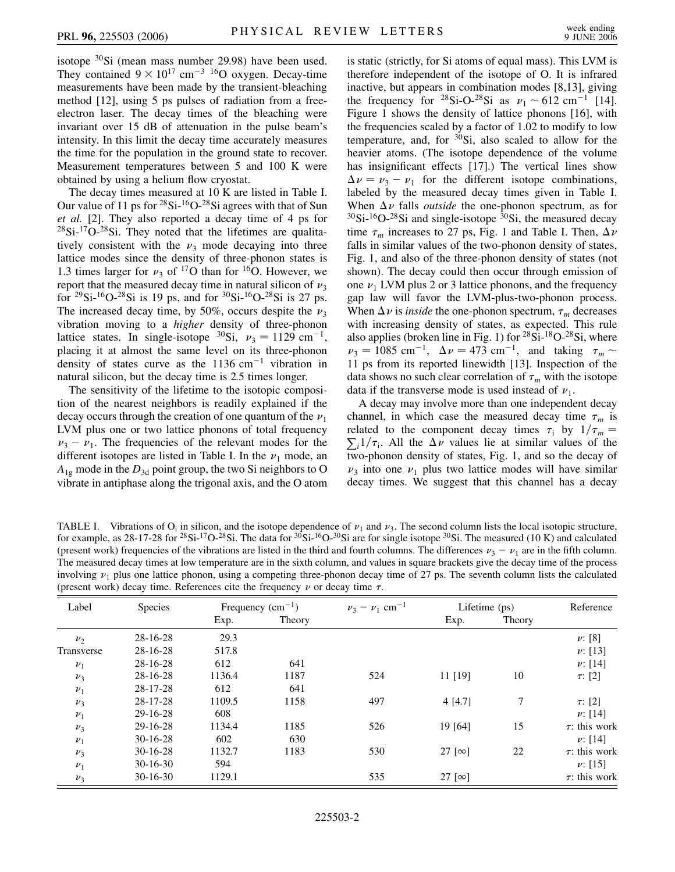isotope 30Si (mean mass number 29.98) have been used. They contained  $9 \times 10^{17}$  cm<sup>-3</sup> <sup>16</sup>O oxygen. Decay-time measurements have been made by the transient-bleaching method [12], using 5 ps pulses of radiation from a freeelectron laser. The decay times of the bleaching were invariant over 15 dB of attenuation in the pulse beam's intensity. In this limit the decay time accurately measures the time for the population in the ground state to recover. Measurement temperatures between 5 and 100 K were obtained by using a helium flow cryostat.

The decay times measured at 10 K are listed in Table I. Our value of 11 ps for  $28\text{Si}$ -16O- $28\text{Si}$  agrees with that of Sun *et al.* [2]. They also reported a decay time of 4 ps for  $28\text{Si-}^{17}\text{O-}^{28}\text{Si}$ . They noted that the lifetimes are qualitatively consistent with the  $\nu_3$  mode decaying into three lattice modes since the density of three-phonon states is 1.3 times larger for  $\nu_3$  of <sup>17</sup>O than for <sup>16</sup>O. However, we report that the measured decay time in natural silicon of  $\nu_3$ for <sup>29</sup>Si-<sup>16</sup>O-<sup>28</sup>Si is 19 ps, and for <sup>30</sup>Si-<sup>16</sup>O-<sup>28</sup>Si is 27 ps. The increased decay time, by 50%, occurs despite the  $\nu_3$ vibration moving to a *higher* density of three-phonon lattice states. In single-isotope <sup>30</sup>Si,  $v_3 = 1129$  cm<sup>-1</sup>, placing it at almost the same level on its three-phonon density of states curve as the  $1136 \text{ cm}^{-1}$  vibration in natural silicon, but the decay time is 2.5 times longer.

The sensitivity of the lifetime to the isotopic composition of the nearest neighbors is readily explained if the decay occurs through the creation of one quantum of the  $\nu_1$ LVM plus one or two lattice phonons of total frequency  $\nu_3 - \nu_1$ . The frequencies of the relevant modes for the different isotopes are listed in Table I. In the  $\nu_1$  mode, an  $A_{1g}$  mode in the  $D_{3d}$  point group, the two Si neighbors to O vibrate in antiphase along the trigonal axis, and the O atom is static (strictly, for Si atoms of equal mass). This LVM is therefore independent of the isotope of O. It is infrared inactive, but appears in combination modes [8,13], giving the frequency for <sup>28</sup>Si-O-<sup>28</sup>Si as  $\nu_1 \sim 612 \text{ cm}^{-1}$  [14]. Figure 1 shows the density of lattice phonons [16], with the frequencies scaled by a factor of 1.02 to modify to low temperature, and, for  $30Si$ , also scaled to allow for the heavier atoms. (The isotope dependence of the volume has insignificant effects [17].) The vertical lines show  $\Delta \nu = \nu_3 - \nu_1$  for the different isotope combinations, labeled by the measured decay times given in Table I. When  $\Delta \nu$  falls *outside* the one-phonon spectrum, as for  $30$ Si- $16$ O- $28$ Si and single-isotope  $30$ Si, the measured decay time  $\tau_m$  increases to 27 ps, Fig. 1 and Table I. Then,  $\Delta \nu$ falls in similar values of the two-phonon density of states, Fig. 1, and also of the three-phonon density of states (not shown). The decay could then occur through emission of one  $\nu_1$  LVM plus 2 or 3 lattice phonons, and the frequency gap law will favor the LVM-plus-two-phonon process. When  $\Delta v$  is *inside* the one-phonon spectrum,  $\tau_m$  decreases with increasing density of states, as expected. This rule also applies (broken line in Fig. 1) for <sup>28</sup>Si-<sup>18</sup>O-<sup>28</sup>Si, where  $\nu_3 = 1085 \text{ cm}^{-1}, \ \Delta \nu = 473 \text{ cm}^{-1}, \ \text{and taking} \ \tau_m \sim$ 11 ps from its reported linewidth [13]. Inspection of the data shows no such clear correlation of  $\tau_m$  with the isotope data if the transverse mode is used instead of  $\nu_1$ .

A decay may involve more than one independent decay channel, in which case the measured decay time  $\tau_m$  is related to the component decay times  $\tau_i$  by  $1/\tau_m =$  $\sum_{i} 1/\tau_i$ . All the  $\Delta \nu$  values lie at similar values of the two-phonon density of states, Fig. 1, and so the decay of  $\nu_3$  into one  $\nu_1$  plus two lattice modes will have similar decay times. We suggest that this channel has a decay

TABLE I. Vibrations of  $O_i$  in silicon, and the isotope dependence of  $\nu_1$  and  $\nu_3$ . The second column lists the local isotopic structure, for example, as 28-17-28 for <sup>28</sup>Si-<sup>17</sup>O-<sup>28</sup>Si. The data for <sup>30</sup>Si-<sup>16</sup>O-<sup>30</sup>Si are for single isotope <sup>30</sup>Si. The measured (10 K) and calculated (present work) frequencies of the vibrations are listed in the third and fourth columns. The differences  $\nu_3 - \nu_1$  are in the fifth column. The measured decay times at low temperature are in the sixth column, and values in square brackets give the decay time of the process involving  $v_1$  plus one lattice phonon, using a competing three-phonon decay time of 27 ps. The seventh column lists the calculated (present work) decay time. References cite the frequency  $\nu$  or decay time  $\tau$ .

| Label      | Species    | Frequency $(cm^{-1})$ |        | $\nu_3 - \nu_1$ cm <sup>-1</sup> | Lifetime (ps)   |        | Reference          |
|------------|------------|-----------------------|--------|----------------------------------|-----------------|--------|--------------------|
|            |            | Exp.                  | Theory |                                  | Exp.            | Theory |                    |
| $\nu_2$    | $28-16-28$ | 29.3                  |        |                                  |                 |        | $\nu$ : [8]        |
| Transverse | $28-16-28$ | 517.8                 |        |                                  |                 |        | $\nu$ : [13]       |
| $\nu_1$    | $28-16-28$ | 612                   | 641    |                                  |                 |        | $\nu$ : [14]       |
| $\nu_3$    | $28-16-28$ | 1136.4                | 1187   | 524                              | $11$ [19]       | 10     | $\tau$ : [2]       |
| $\nu_1$    | $28-17-28$ | 612                   | 641    |                                  |                 |        |                    |
| $\nu_3$    | 28-17-28   | 1109.5                | 1158   | 497                              | 4[4.7]          | 7      | $\tau$ : [2]       |
| $\nu_1$    | 29-16-28   | 608                   |        |                                  |                 |        | $\nu$ : [14]       |
| $\nu_3$    | 29-16-28   | 1134.4                | 1185   | 526                              | 19 [64]         | 15     | $\tau$ : this work |
| $\nu_1$    | $30-16-28$ | 602                   | 630    |                                  |                 |        | $\nu$ : [14]       |
| $\nu_3$    | $30-16-28$ | 1132.7                | 1183   | 530                              | 27 [ $\infty$ ] | 22     | $\tau$ : this work |
| $\nu_1$    | $30-16-30$ | 594                   |        |                                  |                 |        | $\nu$ : [15]       |
| $\nu_3$    | $30-16-30$ | 1129.1                |        | 535                              | 27 [ $\infty$ ] |        | $\tau$ : this work |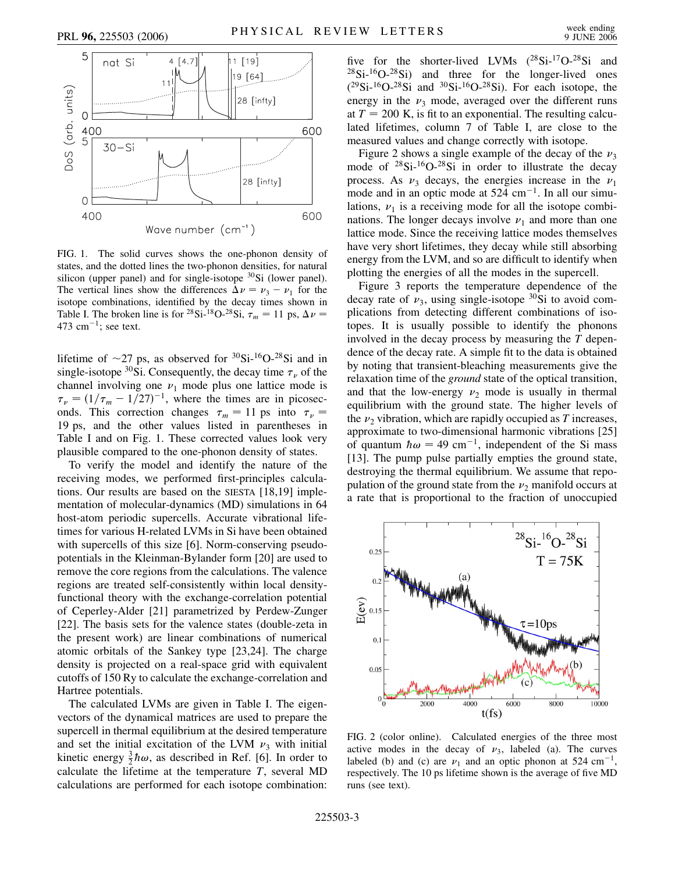

FIG. 1. The solid curves shows the one-phonon density of states, and the dotted lines the two-phonon densities, for natural silicon (upper panel) and for single-isotope  $30Si$  (lower panel). The vertical lines show the differences  $\Delta \nu = \nu_3 - \nu_1$  for the isotope combinations, identified by the decay times shown in Table I. The broken line is for <sup>28</sup>Si-<sup>18</sup>O-<sup>28</sup>Si,  $\tau_m = 11$  ps,  $\Delta \nu =$ 473 cm $^{-1}$ ; see text.

lifetime of  $\sim$ 27 ps, as observed for <sup>30</sup>Si-<sup>16</sup>O-<sup>28</sup>Si and in single-isotope  $30\text{Si}$ . Consequently, the decay time  $\tau_{\nu}$  of the channel involving one  $\nu_1$  mode plus one lattice mode is  $\tau_{\nu} = (1/\tau_m - 1/27)^{-1}$ , where the times are in picoseconds. This correction changes  $\tau_m = 11$  ps into  $\tau_{\nu} =$ 19 ps, and the other values listed in parentheses in Table I and on Fig. 1. These corrected values look very plausible compared to the one-phonon density of states.

To verify the model and identify the nature of the receiving modes, we performed first-principles calculations. Our results are based on the SIESTA [18,19] implementation of molecular-dynamics (MD) simulations in 64 host-atom periodic supercells. Accurate vibrational lifetimes for various H-related LVMs in Si have been obtained with supercells of this size [6]. Norm-conserving pseudopotentials in the Kleinman-Bylander form [20] are used to remove the core regions from the calculations. The valence regions are treated self-consistently within local densityfunctional theory with the exchange-correlation potential of Ceperley-Alder [21] parametrized by Perdew-Zunger [22]. The basis sets for the valence states (double-zeta in the present work) are linear combinations of numerical atomic orbitals of the Sankey type [23,24]. The charge density is projected on a real-space grid with equivalent cutoffs of 150 Ry to calculate the exchange-correlation and Hartree potentials.

The calculated LVMs are given in Table I. The eigenvectors of the dynamical matrices are used to prepare the supercell in thermal equilibrium at the desired temperature and set the initial excitation of the LVM  $\nu_3$  with initial kinetic energy  $\frac{3}{2}\hbar\omega$ , as described in Ref. [6]. In order to calculate the lifetime at the temperature *T*, several MD calculations are performed for each isotope combination:

five for the shorter-lived LVMs  $(^{28}Si^{-17}O^{-28}Si$  and  $^{28}Si-^{16}O-^{28}Si$  and three for the longer-lived ones  $(^{29}Si-^{16}O-^{28}Si$  and  $^{30}Si-^{16}O-^{28}Si$ ). For each isotope, the energy in the  $\nu_3$  mode, averaged over the different runs at  $T = 200$  K, is fit to an exponential. The resulting calculated lifetimes, column 7 of Table I, are close to the measured values and change correctly with isotope.

Figure 2 shows a single example of the decay of the  $\nu_3$ mode of  $28Si-16O-28Si$  in order to illustrate the decay process. As  $\nu_3$  decays, the energies increase in the  $\nu_1$ mode and in an optic mode at  $524 \text{ cm}^{-1}$ . In all our simulations,  $\nu_1$  is a receiving mode for all the isotope combinations. The longer decays involve  $\nu_1$  and more than one lattice mode. Since the receiving lattice modes themselves have very short lifetimes, they decay while still absorbing energy from the LVM, and so are difficult to identify when plotting the energies of all the modes in the supercell.

Figure 3 reports the temperature dependence of the decay rate of  $\nu_3$ , using single-isotope <sup>30</sup>Si to avoid complications from detecting different combinations of isotopes. It is usually possible to identify the phonons involved in the decay process by measuring the *T* dependence of the decay rate. A simple fit to the data is obtained by noting that transient-bleaching measurements give the relaxation time of the *ground* state of the optical transition, and that the low-energy  $\nu_2$  mode is usually in thermal equilibrium with the ground state. The higher levels of the  $\nu_2$  vibration, which are rapidly occupied as *T* increases, approximate to two-dimensional harmonic vibrations [25] of quantum  $\hbar \omega = 49$  cm<sup>-1</sup>, independent of the Si mass [13]. The pump pulse partially empties the ground state, destroying the thermal equilibrium. We assume that repopulation of the ground state from the  $\nu_2$  manifold occurs at a rate that is proportional to the fraction of unoccupied



FIG. 2 (color online). Calculated energies of the three most active modes in the decay of  $\nu_3$ , labeled (a). The curves labeled (b) and (c) are  $\nu_1$  and an optic phonon at 524 cm<sup>-1</sup>, respectively. The 10 ps lifetime shown is the average of five MD runs (see text).